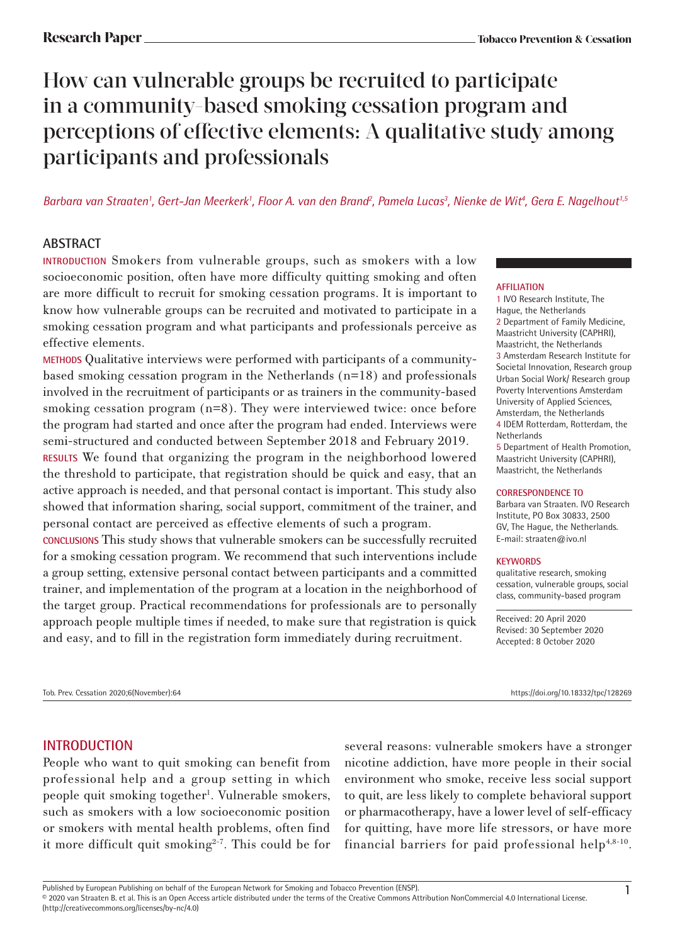# How can vulnerable groups be recruited to participate in a community-based smoking cessation program and perceptions of effective elements: A qualitative study among participants and professionals

*Barbara van Straaten1 , Gert-Jan Meerkerk1 , Floor A. van den Brand2 , Pamela Lucas3 , Nienke de Wit4 , Gera E. Nagelhout1,5*

# **ABSTRACT**

**INTRODUCTION** Smokers from vulnerable groups, such as smokers with a low socioeconomic position, often have more difficulty quitting smoking and often are more difficult to recruit for smoking cessation programs. It is important to know how vulnerable groups can be recruited and motivated to participate in a smoking cessation program and what participants and professionals perceive as effective elements.

**METHODS** Qualitative interviews were performed with participants of a communitybased smoking cessation program in the Netherlands (n=18) and professionals involved in the recruitment of participants or as trainers in the community-based smoking cessation program (n=8). They were interviewed twice: once before the program had started and once after the program had ended. Interviews were semi-structured and conducted between September 2018 and February 2019.

**RESULTS** We found that organizing the program in the neighborhood lowered the threshold to participate, that registration should be quick and easy, that an active approach is needed, and that personal contact is important. This study also showed that information sharing, social support, commitment of the trainer, and personal contact are perceived as effective elements of such a program.

**CONCLUSIONS** This study shows that vulnerable smokers can be successfully recruited for a smoking cessation program. We recommend that such interventions include a group setting, extensive personal contact between participants and a committed trainer, and implementation of the program at a location in the neighborhood of the target group. Practical recommendations for professionals are to personally approach people multiple times if needed, to make sure that registration is quick and easy, and to fill in the registration form immediately during recruitment.

# **AFFILIATION**

1 IVO Research Institute, The Hague, the Netherlands 2 Department of Family Medicine, Maastricht University (CAPHRI), Maastricht, the Netherlands 3 Amsterdam Research Institute for Societal Innovation, Research group Urban Social Work/ Research group Poverty Interventions Amsterdam University of Applied Sciences, Amsterdam, the Netherlands 4 IDEM Rotterdam, Rotterdam, the Netherlands 5 Department of Health Promotion,

Maastricht University (CAPHRI), Maastricht, the Netherlands

#### **CORRESPONDENCE TO**

Barbara van Straaten. IVO Research Institute, PO Box 30833, 2500 GV, The Hague, the Netherlands. E-mail: straaten@ivo.nl

#### **KEYWORDS**

qualitative research, smoking cessation, vulnerable groups, social class, community-based program

Received: 20 April 2020 Revised: 30 September 2020 Accepted: 8 October 2020

Tob. Prev. Cessation 2020;6(November):64 https://doi.org/10.18332/tpc/128269

**INTRODUCTION** 

People who want to quit smoking can benefit from professional help and a group setting in which people quit smoking together<sup>1</sup>. Vulnerable smokers, such as smokers with a low socioeconomic position or smokers with mental health problems, often find it more difficult quit smoking $2-7$ . This could be for

several reasons: vulnerable smokers have a stronger nicotine addiction, have more people in their social environment who smoke, receive less social support to quit, are less likely to complete behavioral support or pharmacotherapy, have a lower level of self-efficacy for quitting, have more life stressors, or have more financial barriers for paid professional help<sup>4,8-10</sup>.

Published by European Publishing on behalf of the European Network for Smoking and Tobacco Prevention (ENSP).<br>© 2020 van Straaten B. et al. This is an Open Access article distributed under the terms of the Creative Common (http://creativecommons.org/licenses/by-nc/4.0)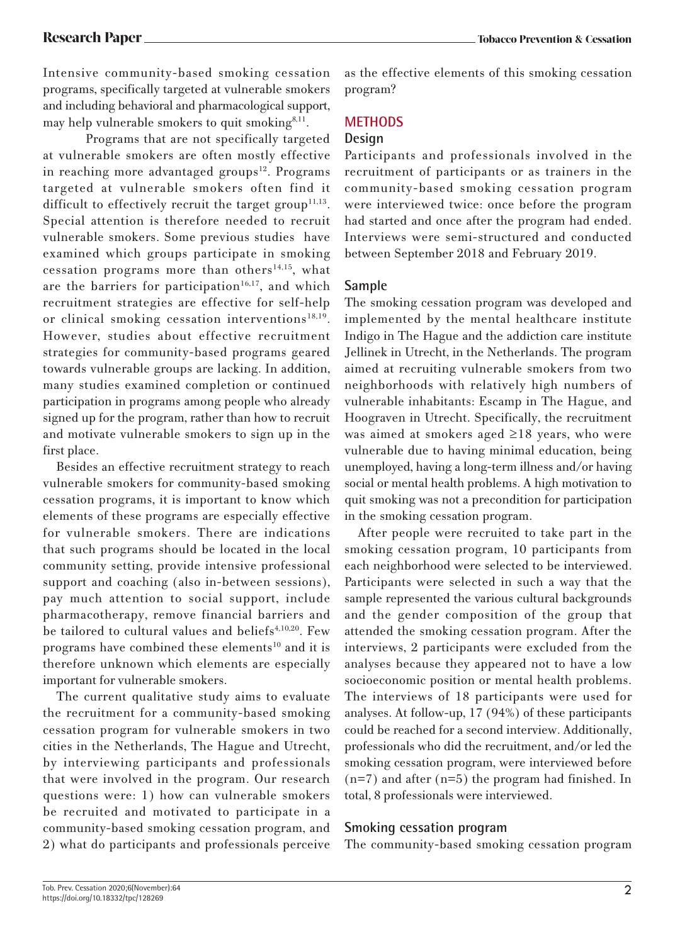Intensive community-based smoking cessation programs, specifically targeted at vulnerable smokers and including behavioral and pharmacological support, may help vulnerable smokers to quit smoking<sup>8,11</sup>.

Programs that are not specifically targeted at vulnerable smokers are often mostly effective in reaching more advantaged groups<sup>12</sup>. Programs targeted at vulnerable smokers often find it difficult to effectively recruit the target group<sup>11,13</sup>. Special attention is therefore needed to recruit vulnerable smokers. Some previous studies have examined which groups participate in smoking cessation programs more than others<sup>14,15</sup>, what are the barriers for participation<sup>16,17</sup>, and which recruitment strategies are effective for self-help or clinical smoking cessation interventions<sup>18,19</sup>. However, studies about effective recruitment strategies for community-based programs geared towards vulnerable groups are lacking. In addition, many studies examined completion or continued participation in programs among people who already signed up for the program, rather than how to recruit and motivate vulnerable smokers to sign up in the first place.

Besides an effective recruitment strategy to reach vulnerable smokers for community-based smoking cessation programs, it is important to know which elements of these programs are especially effective for vulnerable smokers. There are indications that such programs should be located in the local community setting, provide intensive professional support and coaching (also in-between sessions), pay much attention to social support, include pharmacotherapy, remove financial barriers and be tailored to cultural values and beliefs<sup>4,10,20</sup>. Few programs have combined these elements<sup>10</sup> and it is therefore unknown which elements are especially important for vulnerable smokers.

The current qualitative study aims to evaluate the recruitment for a community-based smoking cessation program for vulnerable smokers in two cities in the Netherlands, The Hague and Utrecht, by interviewing participants and professionals that were involved in the program. Our research questions were: 1) how can vulnerable smokers be recruited and motivated to participate in a community-based smoking cessation program, and 2) what do participants and professionals perceive

as the effective elements of this smoking cessation program?

### **METHODS**

#### **Design**

Participants and professionals involved in the recruitment of participants or as trainers in the community-based smoking cessation program were interviewed twice: once before the program had started and once after the program had ended. Interviews were semi-structured and conducted between September 2018 and February 2019.

### **Sample**

The smoking cessation program was developed and implemented by the mental healthcare institute Indigo in The Hague and the addiction care institute Jellinek in Utrecht, in the Netherlands. The program aimed at recruiting vulnerable smokers from two neighborhoods with relatively high numbers of vulnerable inhabitants: Escamp in The Hague, and Hoograven in Utrecht. Specifically, the recruitment was aimed at smokers aged ≥18 years, who were vulnerable due to having minimal education, being unemployed, having a long-term illness and/or having social or mental health problems. A high motivation to quit smoking was not a precondition for participation in the smoking cessation program.

After people were recruited to take part in the smoking cessation program, 10 participants from each neighborhood were selected to be interviewed. Participants were selected in such a way that the sample represented the various cultural backgrounds and the gender composition of the group that attended the smoking cessation program. After the interviews, 2 participants were excluded from the analyses because they appeared not to have a low socioeconomic position or mental health problems. The interviews of 18 participants were used for analyses. At follow-up, 17 (94%) of these participants could be reached for a second interview. Additionally, professionals who did the recruitment, and/or led the smoking cessation program, were interviewed before  $(n=7)$  and after  $(n=5)$  the program had finished. In total, 8 professionals were interviewed.

### **Smoking cessation program**

The community-based smoking cessation program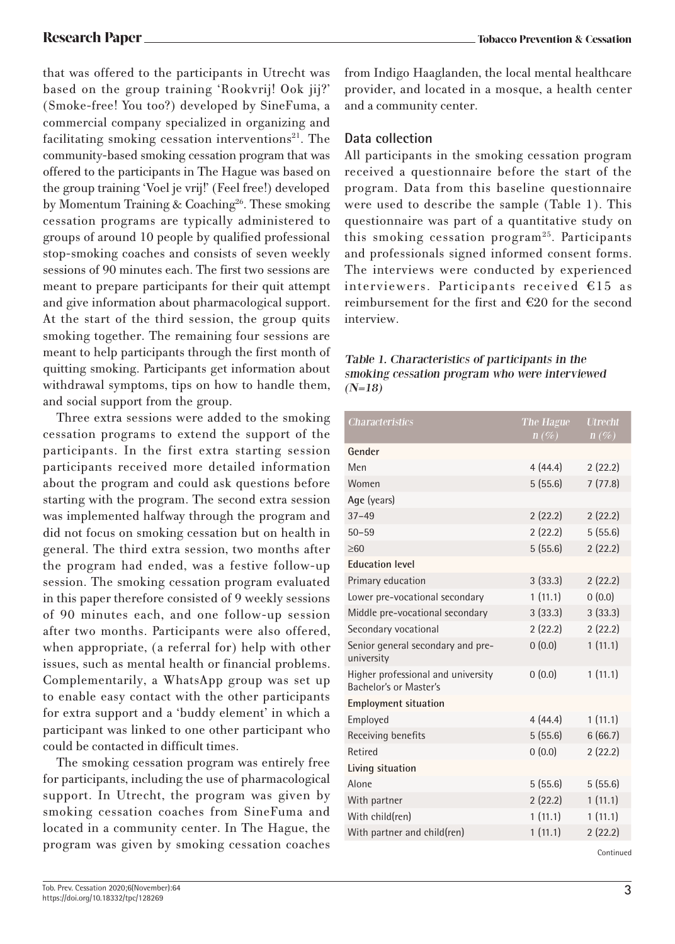that was offered to the participants in Utrecht was based on the group training 'Rookvrij! Ook jij?' (Smoke-free! You too?) developed by SineFuma, a commercial company specialized in organizing and facilitating smoking cessation interventions $21$ . The community-based smoking cessation program that was offered to the participants in The Hague was based on the group training 'Voel je vrij!' (Feel free!) developed by Momentum Training & Coaching<sup>26</sup>. These smoking cessation programs are typically administered to groups of around 10 people by qualified professional stop-smoking coaches and consists of seven weekly sessions of 90 minutes each. The first two sessions are meant to prepare participants for their quit attempt and give information about pharmacological support. At the start of the third session, the group quits smoking together. The remaining four sessions are meant to help participants through the first month of quitting smoking. Participants get information about withdrawal symptoms, tips on how to handle them, and social support from the group.

Three extra sessions were added to the smoking cessation programs to extend the support of the participants. In the first extra starting session participants received more detailed information about the program and could ask questions before starting with the program. The second extra session was implemented halfway through the program and did not focus on smoking cessation but on health in general. The third extra session, two months after the program had ended, was a festive follow-up session. The smoking cessation program evaluated in this paper therefore consisted of 9 weekly sessions of 90 minutes each, and one follow-up session after two months. Participants were also offered, when appropriate, (a referral for) help with other issues, such as mental health or financial problems. Complementarily, a WhatsApp group was set up to enable easy contact with the other participants for extra support and a 'buddy element' in which a participant was linked to one other participant who could be contacted in difficult times.

The smoking cessation program was entirely free for participants, including the use of pharmacological support. In Utrecht, the program was given by smoking cessation coaches from SineFuma and located in a community center. In The Hague, the program was given by smoking cessation coaches

# **Data collection**

All participants in the smoking cessation program received a questionnaire before the start of the program. Data from this baseline questionnaire were used to describe the sample (Table 1). This questionnaire was part of a quantitative study on this smoking cessation program25. Participants and professionals signed informed consent forms. The interviews were conducted by experienced interviewers. Participants received €15 as reimbursement for the first and €20 for the second interview.

#### Table 1. Characteristics of participants in the smoking cessation program who were interviewed  $(N=18)$

| <b>Characteristics</b>                                       | The Hague<br>$n(\%)$ | <b>Utrecht</b><br>$n(\%)$ |
|--------------------------------------------------------------|----------------------|---------------------------|
| Gender                                                       |                      |                           |
| Men                                                          | 4(44.4)              | 2(22.2)                   |
| Women                                                        | 5(55.6)              | 7(77.8)                   |
| Age (years)                                                  |                      |                           |
| $37 - 49$                                                    | 2(22.2)              | 2(22.2)                   |
| $50 - 59$                                                    | 2(22.2)              | 5(55.6)                   |
| $\geq 60$                                                    | 5(55.6)              | 2(22.2)                   |
| <b>Education level</b>                                       |                      |                           |
| Primary education                                            | 3(33.3)              | 2(22.2)                   |
| Lower pre-vocational secondary                               | 1(11.1)              | 0(0.0)                    |
| Middle pre-vocational secondary                              | 3(33.3)              | 3(33.3)                   |
| Secondary vocational                                         | 2(22.2)              | 2(22.2)                   |
| Senior general secondary and pre-<br>university              | 0(0.0)               | 1(11.1)                   |
| Higher professional and university<br>Bachelor's or Master's | 0(0.0)               | 1(11.1)                   |
| <b>Employment situation</b>                                  |                      |                           |
| Employed                                                     | 4(44.4)              | 1(11.1)                   |
| Receiving benefits                                           | 5(55.6)              | 6(66.7)                   |
| Retired                                                      | 0(0.0)               | 2(22.2)                   |
| Living situation                                             |                      |                           |
| Alone                                                        | 5(55.6)              | 5(55.6)                   |
| With partner                                                 | 2(22.2)              | 1(11.1)                   |
| With child(ren)                                              | 1(11.1)              | 1(11.1)                   |
| With partner and child(ren)                                  | 1(11.1)              | 2(22.2)                   |

Continued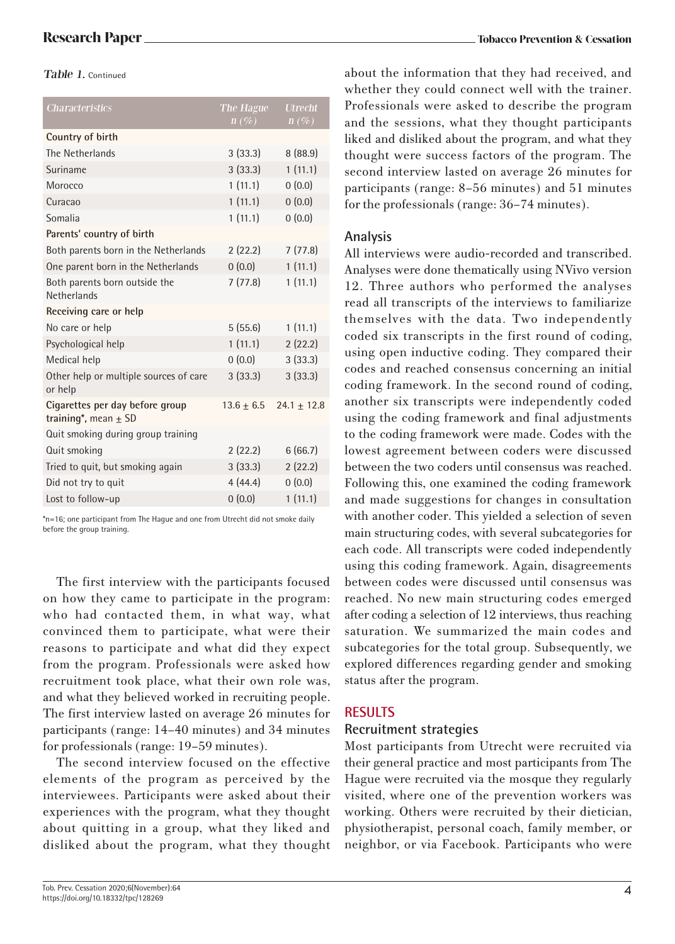Table 1. Continued

| <b>Characteristics</b>                                      | The Hague<br>$n(\%)$ | <b>Utrecht</b><br>$n(\%)$ |
|-------------------------------------------------------------|----------------------|---------------------------|
| Country of birth                                            |                      |                           |
| The Netherlands                                             | 3(33.3)              | 8(88.9)                   |
| Suriname                                                    | 3(33.3)              | 1(11.1)                   |
| Morocco                                                     | 1(11.1)              | 0(0.0)                    |
| Curacao                                                     | 1(11.1)              | 0(0.0)                    |
| Somalia                                                     | 1(11.1)              | 0(0.0)                    |
| Parents' country of birth                                   |                      |                           |
| Both parents born in the Netherlands                        | 2(22.2)              | 7(77.8)                   |
| One parent born in the Netherlands                          | 0(0.0)               | 1(11.1)                   |
| Both parents born outside the<br>Netherlands                | 7(77.8)              | 1(11.1)                   |
| Receiving care or help                                      |                      |                           |
| No care or help                                             | 5(55.6)              | 1(11.1)                   |
| Psychological help                                          | 1(11.1)              | 2(22.2)                   |
| Medical help                                                | 0(0.0)               | 3(33.3)                   |
| Other help or multiple sources of care<br>or help           | 3(33.3)              | 3(33.3)                   |
| Cigarettes per day before group<br>training*, mean $\pm$ SD | $13.6 + 6.5$         | $24.1 + 12.8$             |
| Quit smoking during group training                          |                      |                           |
| Quit smoking                                                | 2(22.2)              | 6(66.7)                   |
| Tried to quit, but smoking again                            | 3(33.3)              | 2(22.2)                   |
| Did not try to quit                                         | 4(44.4)              | 0(0.0)                    |
| Lost to follow-up                                           | 0(0.0)               | 1(11.1)                   |

\*n=16; one participant from The Hague and one from Utrecht did not smoke daily before the group training.

The first interview with the participants focused on how they came to participate in the program: who had contacted them, in what way, what convinced them to participate, what were their reasons to participate and what did they expect from the program. Professionals were asked how recruitment took place, what their own role was, and what they believed worked in recruiting people. The first interview lasted on average 26 minutes for participants (range: 14–40 minutes) and 34 minutes for professionals (range: 19–59 minutes).

The second interview focused on the effective elements of the program as perceived by the interviewees. Participants were asked about their experiences with the program, what they thought about quitting in a group, what they liked and disliked about the program, what they thought about the information that they had received, and whether they could connect well with the trainer. Professionals were asked to describe the program and the sessions, what they thought participants liked and disliked about the program, and what they thought were success factors of the program. The second interview lasted on average 26 minutes for participants (range: 8–56 minutes) and 51 minutes for the professionals (range: 36–74 minutes).

### **Analysis**

All interviews were audio-recorded and transcribed. Analyses were done thematically using NVivo version 12. Three authors who performed the analyses read all transcripts of the interviews to familiarize themselves with the data. Two independently coded six transcripts in the first round of coding, using open inductive coding. They compared their codes and reached consensus concerning an initial coding framework. In the second round of coding, another six transcripts were independently coded using the coding framework and final adjustments to the coding framework were made. Codes with the lowest agreement between coders were discussed between the two coders until consensus was reached. Following this, one examined the coding framework and made suggestions for changes in consultation with another coder. This yielded a selection of seven main structuring codes, with several subcategories for each code. All transcripts were coded independently using this coding framework. Again, disagreements between codes were discussed until consensus was reached. No new main structuring codes emerged after coding a selection of 12 interviews, thus reaching saturation. We summarized the main codes and subcategories for the total group. Subsequently, we explored differences regarding gender and smoking status after the program.

# **RESULTS**

### **Recruitment strategies**

Most participants from Utrecht were recruited via their general practice and most participants from The Hague were recruited via the mosque they regularly visited, where one of the prevention workers was working. Others were recruited by their dietician, physiotherapist, personal coach, family member, or neighbor, or via Facebook. Participants who were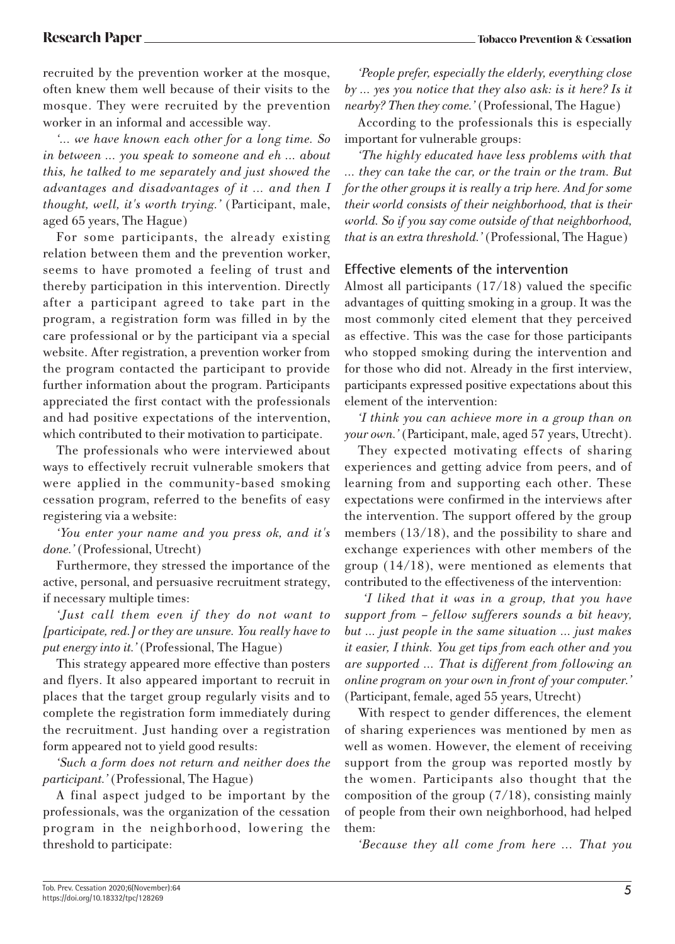recruited by the prevention worker at the mosque, often knew them well because of their visits to the mosque. They were recruited by the prevention worker in an informal and accessible way.

*'... we have known each other for a long time. So in between ... you speak to someone and eh ... about this, he talked to me separately and just showed the advantages and disadvantages of it ... and then I thought, well, it's worth trying.'* (Participant, male, aged 65 years, The Hague)

For some participants, the already existing relation between them and the prevention worker, seems to have promoted a feeling of trust and thereby participation in this intervention. Directly after a participant agreed to take part in the program, a registration form was filled in by the care professional or by the participant via a special website. After registration, a prevention worker from the program contacted the participant to provide further information about the program. Participants appreciated the first contact with the professionals and had positive expectations of the intervention, which contributed to their motivation to participate.

The professionals who were interviewed about ways to effectively recruit vulnerable smokers that were applied in the community-based smoking cessation program, referred to the benefits of easy registering via a website:

*'You enter your name and you press ok, and it's done.'* (Professional, Utrecht)

Furthermore, they stressed the importance of the active, personal, and persuasive recruitment strategy, if necessary multiple times:

*'Just call them even if they do not want to [participate, red.] or they are unsure. You really have to put energy into it.'* (Professional, The Hague)

This strategy appeared more effective than posters and flyers. It also appeared important to recruit in places that the target group regularly visits and to complete the registration form immediately during the recruitment. Just handing over a registration form appeared not to yield good results:

*'Such a form does not return and neither does the participant.'* (Professional, The Hague)

A final aspect judged to be important by the professionals, was the organization of the cessation program in the neighborhood, lowering the threshold to participate:

*'People prefer, especially the elderly, everything close by ... yes you notice that they also ask: is it here? Is it nearby? Then they come.'* (Professional, The Hague)

According to the professionals this is especially important for vulnerable groups:

*'The highly educated have less problems with that … they can take the car, or the train or the tram. But for the other groups it is really a trip here. And for some their world consists of their neighborhood, that is their world. So if you say come outside of that neighborhood, that is an extra threshold.'* (Professional, The Hague)

### **Effective elements of the intervention**

Almost all participants (17/18) valued the specific advantages of quitting smoking in a group. It was the most commonly cited element that they perceived as effective. This was the case for those participants who stopped smoking during the intervention and for those who did not. Already in the first interview, participants expressed positive expectations about this element of the intervention:

*'I think you can achieve more in a group than on your own.'* (Participant, male, aged 57 years, Utrecht).

They expected motivating effects of sharing experiences and getting advice from peers, and of learning from and supporting each other. These expectations were confirmed in the interviews after the intervention. The support offered by the group members (13/18), and the possibility to share and exchange experiences with other members of the group (14/18), were mentioned as elements that contributed to the effectiveness of the intervention:

 *'I liked that it was in a group, that you have support from – fellow sufferers sounds a bit heavy, but ... just people in the same situation ... just makes it easier, I think. You get tips from each other and you are supported … That is different from following an online program on your own in front of your computer.'*  (Participant, female, aged 55 years, Utrecht)

With respect to gender differences, the element of sharing experiences was mentioned by men as well as women. However, the element of receiving support from the group was reported mostly by the women. Participants also thought that the composition of the group (7/18), consisting mainly of people from their own neighborhood, had helped them:

*'Because they all come from here ... That you*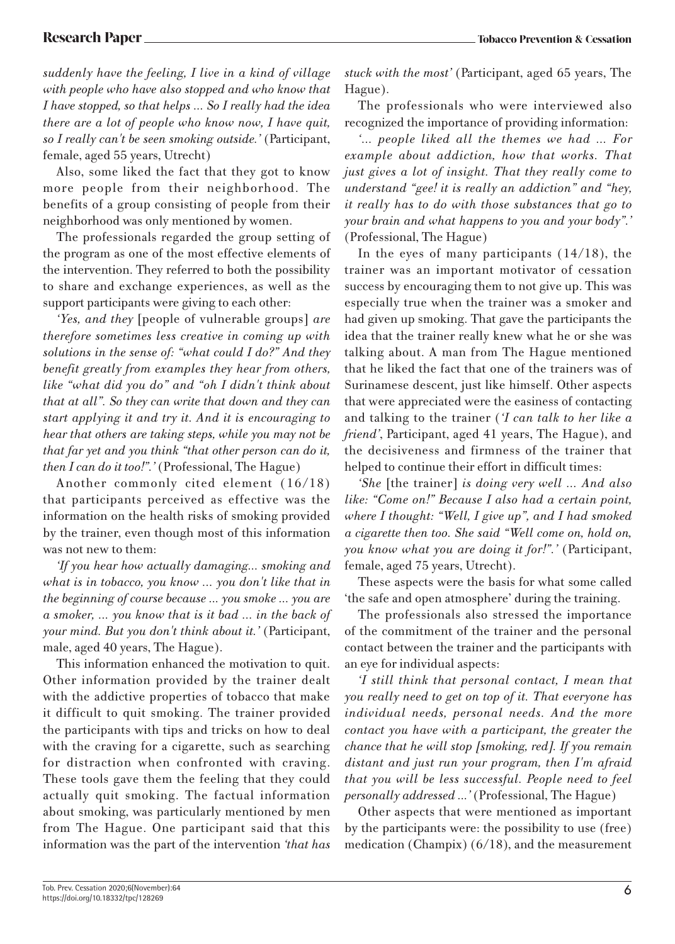*suddenly have the feeling, I live in a kind of village with people who have also stopped and who know that I have stopped, so that helps ... So I really had the idea there are a lot of people who know now, I have quit, so I really can't be seen smoking outside.'* (Participant, female, aged 55 years, Utrecht)

Also, some liked the fact that they got to know more people from their neighborhood. The benefits of a group consisting of people from their neighborhood was only mentioned by women.

The professionals regarded the group setting of the program as one of the most effective elements of the intervention. They referred to both the possibility to share and exchange experiences, as well as the support participants were giving to each other:

*'Yes, and they* [people of vulnerable groups] *are therefore sometimes less creative in coming up with solutions in the sense of: "what could I do?" And they benefit greatly from examples they hear from others, like "what did you do" and "oh I didn't think about that at all". So they can write that down and they can start applying it and try it. And it is encouraging to hear that others are taking steps, while you may not be that far yet and you think "that other person can do it, then I can do it too!".'* (Professional, The Hague)

Another commonly cited element (16/18) that participants perceived as effective was the information on the health risks of smoking provided by the trainer, even though most of this information was not new to them:

*'If you hear how actually damaging... smoking and what is in tobacco, you know … you don't like that in the beginning of course because ... you smoke ... you are a smoker, ... you know that is it bad ... in the back of your mind. But you don't think about it.'* (Participant, male, aged 40 years, The Hague).

This information enhanced the motivation to quit. Other information provided by the trainer dealt with the addictive properties of tobacco that make it difficult to quit smoking. The trainer provided the participants with tips and tricks on how to deal with the craving for a cigarette, such as searching for distraction when confronted with craving. These tools gave them the feeling that they could actually quit smoking. The factual information about smoking, was particularly mentioned by men from The Hague. One participant said that this information was the part of the intervention *'that has* 

*stuck with the most'* (Participant, aged 65 years, The Hague).

The professionals who were interviewed also recognized the importance of providing information:

*'… people liked all the themes we had … For example about addiction, how that works. That just gives a lot of insight. That they really come to understand "gee! it is really an addiction" and "hey, it really has to do with those substances that go to your brain and what happens to you and your body".'* (Professional, The Hague)

In the eyes of many participants (14/18), the trainer was an important motivator of cessation success by encouraging them to not give up. This was especially true when the trainer was a smoker and had given up smoking. That gave the participants the idea that the trainer really knew what he or she was talking about. A man from The Hague mentioned that he liked the fact that one of the trainers was of Surinamese descent, just like himself. Other aspects that were appreciated were the easiness of contacting and talking to the trainer (*'I can talk to her like a friend'*, Participant, aged 41 years, The Hague), and the decisiveness and firmness of the trainer that helped to continue their effort in difficult times:

*'She* [the trainer] *is doing very well … And also like: "Come on!" Because I also had a certain point, where I thought: "Well, I give up", and I had smoked a cigarette then too. She said "Well come on, hold on, you know what you are doing it for!".'* (Participant, female, aged 75 years, Utrecht).

These aspects were the basis for what some called 'the safe and open atmosphere' during the training.

The professionals also stressed the importance of the commitment of the trainer and the personal contact between the trainer and the participants with an eye for individual aspects:

*'I still think that personal contact, I mean that you really need to get on top of it. That everyone has individual needs, personal needs. And the more contact you have with a participant, the greater the chance that he will stop [smoking, red]. If you remain distant and just run your program, then I'm afraid that you will be less successful. People need to feel personally addressed ...'* (Professional, The Hague)

Other aspects that were mentioned as important by the participants were: the possibility to use (free) medication (Champix) (6/18), and the measurement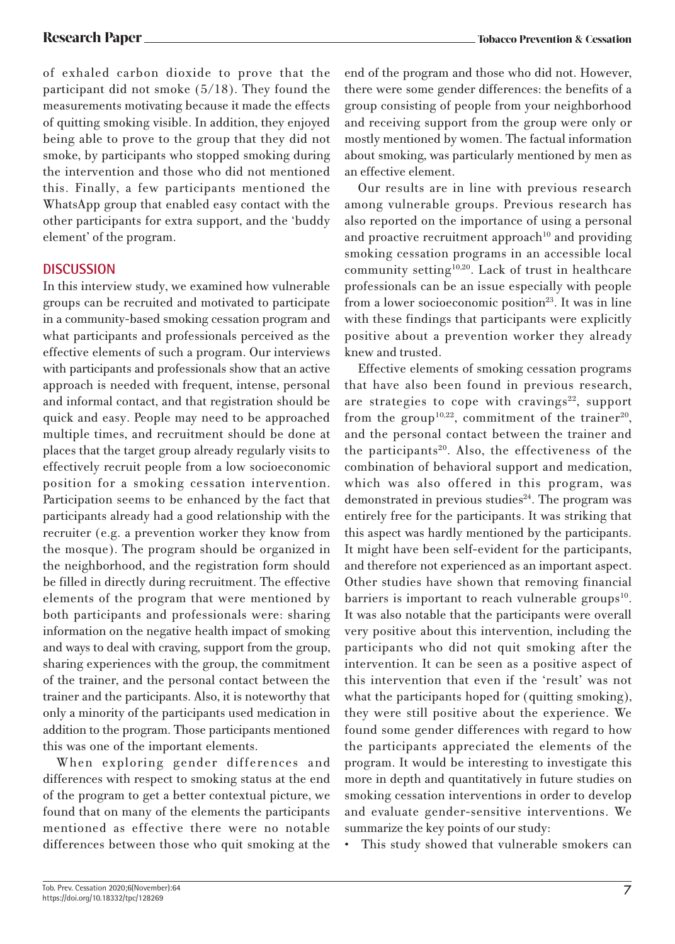of exhaled carbon dioxide to prove that the participant did not smoke (5/18). They found the measurements motivating because it made the effects of quitting smoking visible. In addition, they enjoyed being able to prove to the group that they did not smoke, by participants who stopped smoking during the intervention and those who did not mentioned this. Finally, a few participants mentioned the WhatsApp group that enabled easy contact with the other participants for extra support, and the 'buddy element' of the program.

### **DISCUSSION**

In this interview study, we examined how vulnerable groups can be recruited and motivated to participate in a community-based smoking cessation program and what participants and professionals perceived as the effective elements of such a program. Our interviews with participants and professionals show that an active approach is needed with frequent, intense, personal and informal contact, and that registration should be quick and easy. People may need to be approached multiple times, and recruitment should be done at places that the target group already regularly visits to effectively recruit people from a low socioeconomic position for a smoking cessation intervention. Participation seems to be enhanced by the fact that participants already had a good relationship with the recruiter (e.g. a prevention worker they know from the mosque). The program should be organized in the neighborhood, and the registration form should be filled in directly during recruitment. The effective elements of the program that were mentioned by both participants and professionals were: sharing information on the negative health impact of smoking and ways to deal with craving, support from the group, sharing experiences with the group, the commitment of the trainer, and the personal contact between the trainer and the participants. Also, it is noteworthy that only a minority of the participants used medication in addition to the program. Those participants mentioned this was one of the important elements.

When exploring gender differences and differences with respect to smoking status at the end of the program to get a better contextual picture, we found that on many of the elements the participants mentioned as effective there were no notable differences between those who quit smoking at the end of the program and those who did not. However, there were some gender differences: the benefits of a group consisting of people from your neighborhood and receiving support from the group were only or mostly mentioned by women. The factual information about smoking, was particularly mentioned by men as an effective element.

Our results are in line with previous research among vulnerable groups. Previous research has also reported on the importance of using a personal and proactive recruitment approach<sup>10</sup> and providing smoking cessation programs in an accessible local community setting10,20. Lack of trust in healthcare professionals can be an issue especially with people from a lower socioeconomic position<sup>23</sup>. It was in line with these findings that participants were explicitly positive about a prevention worker they already knew and trusted.

Effective elements of smoking cessation programs that have also been found in previous research, are strategies to cope with cravings<sup>22</sup>, support from the group<sup>10,22</sup>, commitment of the trainer<sup>20</sup>, and the personal contact between the trainer and the participants<sup>20</sup>. Also, the effectiveness of the combination of behavioral support and medication, which was also offered in this program, was demonstrated in previous studies $24$ . The program was entirely free for the participants. It was striking that this aspect was hardly mentioned by the participants. It might have been self-evident for the participants, and therefore not experienced as an important aspect. Other studies have shown that removing financial barriers is important to reach vulnerable groups<sup>10</sup>. It was also notable that the participants were overall very positive about this intervention, including the participants who did not quit smoking after the intervention. It can be seen as a positive aspect of this intervention that even if the 'result' was not what the participants hoped for (quitting smoking), they were still positive about the experience. We found some gender differences with regard to how the participants appreciated the elements of the program. It would be interesting to investigate this more in depth and quantitatively in future studies on smoking cessation interventions in order to develop and evaluate gender-sensitive interventions. We summarize the key points of our study:

• This study showed that vulnerable smokers can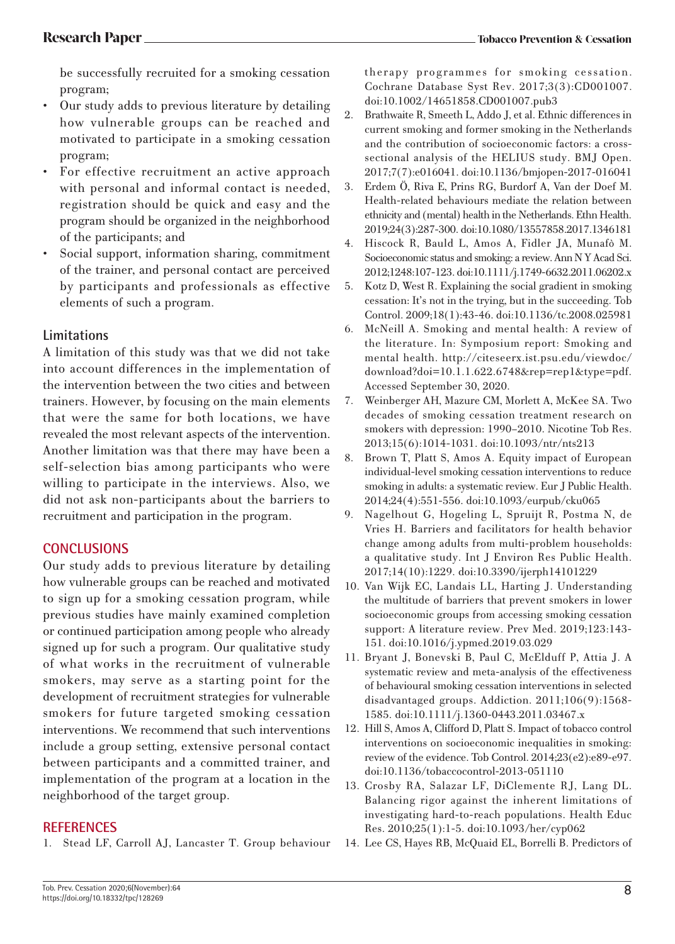be successfully recruited for a smoking cessation program;

- Our study adds to previous literature by detailing how vulnerable groups can be reached and motivated to participate in a smoking cessation program;
- For effective recruitment an active approach with personal and informal contact is needed, registration should be quick and easy and the program should be organized in the neighborhood of the participants; and
- Social support, information sharing, commitment of the trainer, and personal contact are perceived by participants and professionals as effective elements of such a program.

# **Limitations**

A limitation of this study was that we did not take into account differences in the implementation of the intervention between the two cities and between trainers. However, by focusing on the main elements that were the same for both locations, we have revealed the most relevant aspects of the intervention. Another limitation was that there may have been a self-selection bias among participants who were willing to participate in the interviews. Also, we did not ask non-participants about the barriers to recruitment and participation in the program.

# **CONCLUSIONS**

Our study adds to previous literature by detailing how vulnerable groups can be reached and motivated to sign up for a smoking cessation program, while previous studies have mainly examined completion or continued participation among people who already signed up for such a program. Our qualitative study of what works in the recruitment of vulnerable smokers, may serve as a starting point for the development of recruitment strategies for vulnerable smokers for future targeted smoking cessation interventions. We recommend that such interventions include a group setting, extensive personal contact between participants and a committed trainer, and implementation of the program at a location in the neighborhood of the target group.

# **REFERENCES**

1. Stead LF, Carroll AJ, Lancaster T. Group behaviour

therapy programmes for smoking cessation. Cochrane Database Syst Rev. 2017;3(3):CD001007. doi:10.1002/14651858.CD001007.pub3

- 2. Brathwaite R, Smeeth L, Addo J, et al. Ethnic differences in current smoking and former smoking in the Netherlands and the contribution of socioeconomic factors: a crosssectional analysis of the HELIUS study. BMJ Open. 2017;7(7):e016041. doi:10.1136/bmjopen-2017-016041
- 3. Erdem Ö, Riva E, Prins RG, Burdorf A, Van der Doef M. Health-related behaviours mediate the relation between ethnicity and (mental) health in the Netherlands. Ethn Health. 2019;24(3):287-300. doi:10.1080/13557858.2017.1346181
- 4. Hiscock R, Bauld L, Amos A, Fidler JA, Munafò M. Socioeconomic status and smoking: a review. Ann N Y Acad Sci. 2012;1248:107-123. doi:10.1111/j.1749-6632.2011.06202.x
- 5. Kotz D, West R. Explaining the social gradient in smoking cessation: It's not in the trying, but in the succeeding. Tob Control. 2009;18(1):43-46. doi:10.1136/tc.2008.025981
- 6. McNeill A. Smoking and mental health: A review of the literature. In: Symposium report: Smoking and mental health. http://citeseerx.ist.psu.edu/viewdoc/ download?doi=10.1.1.622.6748&rep=rep1&type=pdf. Accessed September 30, 2020.
- 7. Weinberger AH, Mazure CM, Morlett A, McKee SA. Two decades of smoking cessation treatment research on smokers with depression: 1990–2010. Nicotine Tob Res. 2013;15(6):1014-1031. doi:10.1093/ntr/nts213
- 8. Brown T, Platt S, Amos A. Equity impact of European individual-level smoking cessation interventions to reduce smoking in adults: a systematic review. Eur J Public Health. 2014;24(4):551-556. doi:10.1093/eurpub/cku065
- 9. Nagelhout G, Hogeling L, Spruijt R, Postma N, de Vries H. Barriers and facilitators for health behavior change among adults from multi-problem households: a qualitative study. Int J Environ Res Public Health. 2017;14(10):1229. doi:10.3390/ijerph14101229
- 10. Van Wijk EC, Landais LL, Harting J. Understanding the multitude of barriers that prevent smokers in lower socioeconomic groups from accessing smoking cessation support: A literature review. Prev Med. 2019;123:143- 151. doi:10.1016/j.ypmed.2019.03.029
- 11. Bryant J, Bonevski B, Paul C, McElduff P, Attia J. A systematic review and meta-analysis of the effectiveness of behavioural smoking cessation interventions in selected disadvantaged groups. Addiction. 2011;106(9):1568- 1585. doi:10.1111/j.1360-0443.2011.03467.x
- 12. Hill S, Amos A, Clifford D, Platt S. Impact of tobacco control interventions on socioeconomic inequalities in smoking: review of the evidence. Tob Control. 2014;23(e2):e89-e97. doi:10.1136/tobaccocontrol-2013-051110
- 13. Crosby RA, Salazar LF, DiClemente RJ, Lang DL. Balancing rigor against the inherent limitations of investigating hard-to-reach populations. Health Educ Res. 2010;25(1):1-5. doi:10.1093/her/cyp062
- 14. Lee CS, Hayes RB, McQuaid EL, Borrelli B. Predictors of